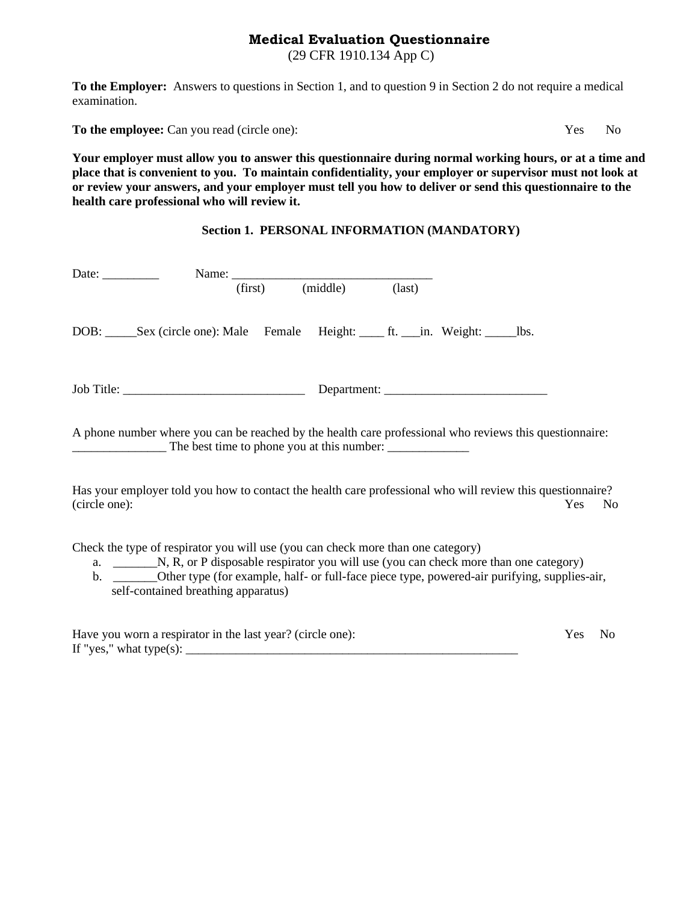## **Medical Evaluation Questionnaire**

(29 CFR 1910.134 App C)

**To the Employer:** Answers to questions in Section 1, and to question 9 in Section 2 do not require a medical examination.

**To the employee:** Can you read (circle one): Yes No

**Your employer must allow you to answer this questionnaire during normal working hours, or at a time and place that is convenient to you. To maintain confidentiality, your employer or supervisor must not look at or review your answers, and your employer must tell you how to deliver or send this questionnaire to the health care professional who will review it.**

## **Section 1. PERSONAL INFORMATION (MANDATORY)**

| Date: $\_\_$  |                                                                                                                                                                                                                    | (first) | (middle) (last) |  |                                                                                                                                            |
|---------------|--------------------------------------------------------------------------------------------------------------------------------------------------------------------------------------------------------------------|---------|-----------------|--|--------------------------------------------------------------------------------------------------------------------------------------------|
|               | DOB: Sex (circle one): Male Female Height: ft. in. Weight: bs.                                                                                                                                                     |         |                 |  |                                                                                                                                            |
|               |                                                                                                                                                                                                                    |         |                 |  |                                                                                                                                            |
|               | The best time to phone you at this number:                                                                                                                                                                         |         |                 |  | A phone number where you can be reached by the health care professional who reviews this questionnaire:                                    |
| (circle one): |                                                                                                                                                                                                                    |         |                 |  | Has your employer told you how to contact the health care professional who will review this questionnaire?<br><b>Yes</b><br>N <sub>0</sub> |
|               | Check the type of respirator you will use (you can check more than one category)<br>a. N, R, or P disposable respirator you will use (you can check more than one category)<br>self-contained breathing apparatus) |         |                 |  |                                                                                                                                            |

| Have you worn a respirator in the last year? (circle one): | Yes No |  |
|------------------------------------------------------------|--------|--|
| If "yes," what type $(s)$ :                                |        |  |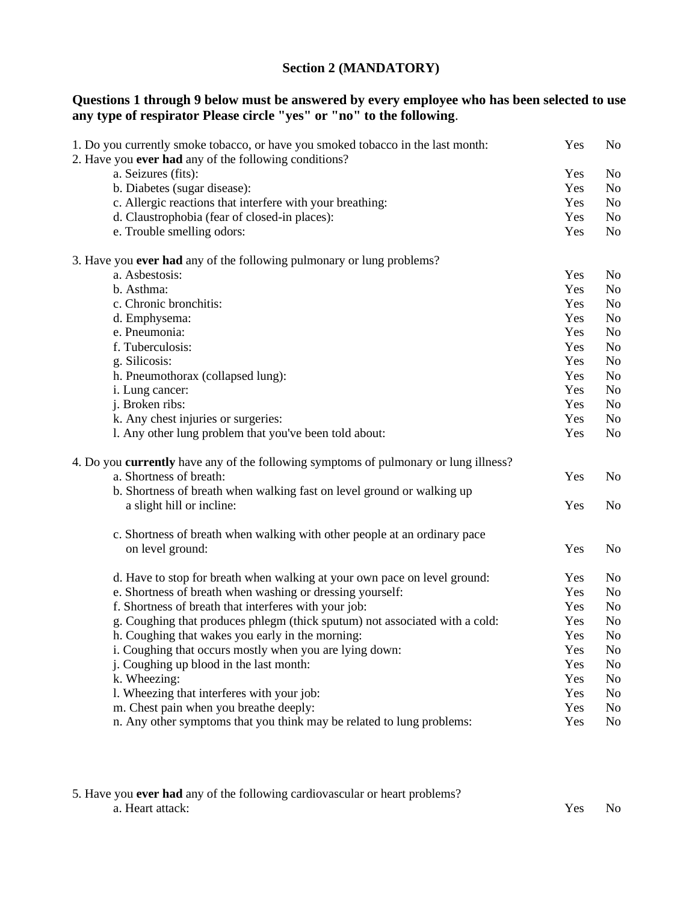## **Section 2 (MANDATORY)**

## **Questions 1 through 9 below must be answered by every employee who has been selected to use any type of respirator Please circle "yes" or "no" to the following**.

| 1. Do you currently smoke tobacco, or have you smoked tobacco in the last month:<br>2. Have you ever had any of the following conditions? | Yes | N <sub>o</sub> |
|-------------------------------------------------------------------------------------------------------------------------------------------|-----|----------------|
| a. Seizures (fits):                                                                                                                       | Yes | N <sub>o</sub> |
| b. Diabetes (sugar disease):                                                                                                              | Yes | N <sub>o</sub> |
| c. Allergic reactions that interfere with your breathing:                                                                                 | Yes | N <sub>0</sub> |
| d. Claustrophobia (fear of closed-in places):                                                                                             | Yes | N <sub>o</sub> |
| e. Trouble smelling odors:                                                                                                                | Yes | N <sub>o</sub> |
| 3. Have you ever had any of the following pulmonary or lung problems?                                                                     |     |                |
| a. Asbestosis:                                                                                                                            | Yes | N <sub>0</sub> |
| b. Asthma:                                                                                                                                | Yes | N <sub>0</sub> |
| c. Chronic bronchitis:                                                                                                                    | Yes | N <sub>0</sub> |
| d. Emphysema:                                                                                                                             | Yes | N <sub>0</sub> |
| e. Pneumonia:                                                                                                                             | Yes | N <sub>0</sub> |
| f. Tuberculosis:                                                                                                                          | Yes | N <sub>o</sub> |
| g. Silicosis:                                                                                                                             | Yes | N <sub>o</sub> |
| h. Pneumothorax (collapsed lung):                                                                                                         | Yes | N <sub>0</sub> |
| i. Lung cancer:                                                                                                                           | Yes | N <sub>0</sub> |
| j. Broken ribs:                                                                                                                           | Yes | N <sub>o</sub> |
| k. Any chest injuries or surgeries:                                                                                                       | Yes | N <sub>0</sub> |
| 1. Any other lung problem that you've been told about:                                                                                    | Yes | N <sub>o</sub> |
| 4. Do you currently have any of the following symptoms of pulmonary or lung illness?                                                      |     |                |
| a. Shortness of breath:                                                                                                                   | Yes | N <sub>0</sub> |
| b. Shortness of breath when walking fast on level ground or walking up                                                                    |     |                |
| a slight hill or incline:                                                                                                                 | Yes | No             |
| c. Shortness of breath when walking with other people at an ordinary pace                                                                 |     |                |
| on level ground:                                                                                                                          | Yes | No             |
| d. Have to stop for breath when walking at your own pace on level ground:                                                                 | Yes | No             |
| e. Shortness of breath when washing or dressing yourself:                                                                                 | Yes | N <sub>0</sub> |
| f. Shortness of breath that interferes with your job:                                                                                     | Yes | N <sub>0</sub> |
| g. Coughing that produces phlegm (thick sputum) not associated with a cold:                                                               | Yes | N <sub>o</sub> |
| h. Coughing that wakes you early in the morning:                                                                                          | Yes | No             |
| i. Coughing that occurs mostly when you are lying down:                                                                                   | Yes | N <sub>0</sub> |
| j. Coughing up blood in the last month:                                                                                                   | Yes | No             |
| k. Wheezing:                                                                                                                              | Yes | N <sub>0</sub> |
| 1. Wheezing that interferes with your job:                                                                                                | Yes | N <sub>0</sub> |
| m. Chest pain when you breathe deeply:                                                                                                    | Yes | No             |
| n. Any other symptoms that you think may be related to lung problems:                                                                     | Yes | No             |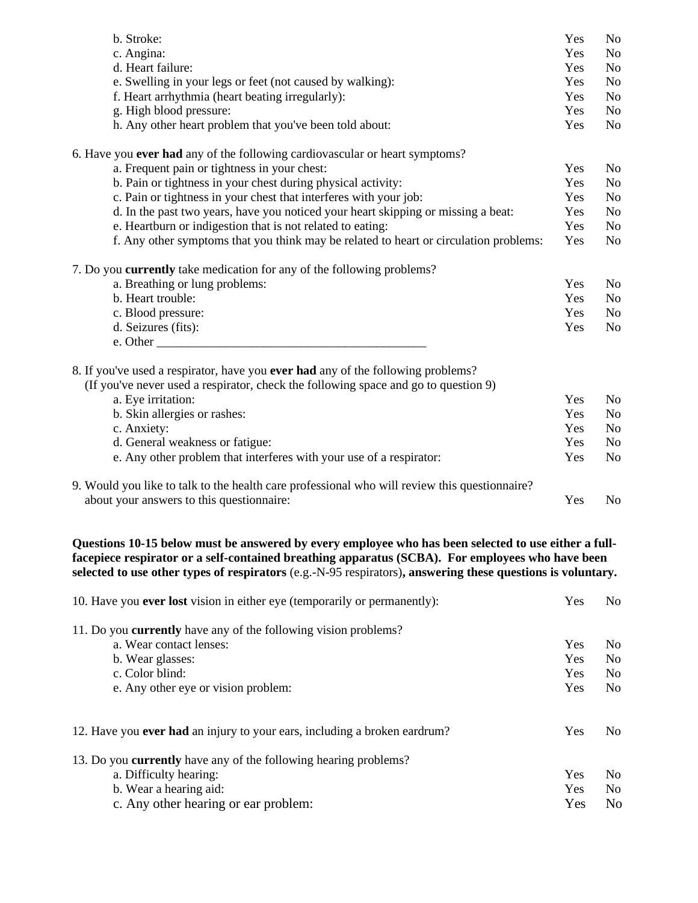| b. Stroke:                                                                                                                                                                                                                                                                                                              | Yes | N <sub>o</sub> |
|-------------------------------------------------------------------------------------------------------------------------------------------------------------------------------------------------------------------------------------------------------------------------------------------------------------------------|-----|----------------|
| c. Angina:                                                                                                                                                                                                                                                                                                              | Yes | N <sub>o</sub> |
| d. Heart failure:                                                                                                                                                                                                                                                                                                       | Yes | N <sub>o</sub> |
| e. Swelling in your legs or feet (not caused by walking):                                                                                                                                                                                                                                                               | Yes | N <sub>o</sub> |
| f. Heart arrhythmia (heart beating irregularly):                                                                                                                                                                                                                                                                        | Yes | N <sub>o</sub> |
| g. High blood pressure:                                                                                                                                                                                                                                                                                                 | Yes | N <sub>o</sub> |
| h. Any other heart problem that you've been told about:                                                                                                                                                                                                                                                                 | Yes | N <sub>o</sub> |
| 6. Have you ever had any of the following cardiovascular or heart symptoms?                                                                                                                                                                                                                                             |     |                |
| a. Frequent pain or tightness in your chest:                                                                                                                                                                                                                                                                            | Yes | N <sub>o</sub> |
| b. Pain or tightness in your chest during physical activity:                                                                                                                                                                                                                                                            | Yes | N <sub>o</sub> |
| c. Pain or tightness in your chest that interferes with your job:                                                                                                                                                                                                                                                       | Yes | N <sub>o</sub> |
| d. In the past two years, have you noticed your heart skipping or missing a beat:                                                                                                                                                                                                                                       | Yes | N <sub>o</sub> |
| e. Heartburn or indigestion that is not related to eating:                                                                                                                                                                                                                                                              | Yes | N <sub>o</sub> |
| f. Any other symptoms that you think may be related to heart or circulation problems:                                                                                                                                                                                                                                   | Yes | N <sub>o</sub> |
| 7. Do you currently take medication for any of the following problems?                                                                                                                                                                                                                                                  |     |                |
| a. Breathing or lung problems:                                                                                                                                                                                                                                                                                          | Yes | N <sub>o</sub> |
| b. Heart trouble:                                                                                                                                                                                                                                                                                                       | Yes | N <sub>o</sub> |
| c. Blood pressure:                                                                                                                                                                                                                                                                                                      | Yes | N <sub>o</sub> |
| d. Seizures (fits):<br>e. Other                                                                                                                                                                                                                                                                                         | Yes | N <sub>o</sub> |
|                                                                                                                                                                                                                                                                                                                         |     |                |
| 8. If you've used a respirator, have you ever had any of the following problems?                                                                                                                                                                                                                                        |     |                |
| (If you've never used a respirator, check the following space and go to question 9)                                                                                                                                                                                                                                     |     |                |
| a. Eye irritation:                                                                                                                                                                                                                                                                                                      | Yes | N <sub>0</sub> |
| b. Skin allergies or rashes:                                                                                                                                                                                                                                                                                            | Yes | N <sub>o</sub> |
| c. Anxiety:                                                                                                                                                                                                                                                                                                             | Yes | N <sub>o</sub> |
| d. General weakness or fatigue:                                                                                                                                                                                                                                                                                         | Yes | N <sub>o</sub> |
| e. Any other problem that interferes with your use of a respirator:                                                                                                                                                                                                                                                     | Yes | N <sub>o</sub> |
| 9. Would you like to talk to the health care professional who will review this questionnaire?                                                                                                                                                                                                                           |     |                |
| about your answers to this questionnaire:                                                                                                                                                                                                                                                                               | Yes | N <sub>o</sub> |
| Questions 10-15 below must be answered by every employee who has been selected to use either a full-<br>facepiece respirator or a self-contained breathing apparatus (SCBA). For employees who have been<br>selected to use other types of respirators (e.g.-N-95 respirators), answering these questions is voluntary. |     |                |
| 10. Have you ever lost vision in either eye (temporarily or permanently):                                                                                                                                                                                                                                               | Yes | N <sub>o</sub> |
| 11. Do you currently have any of the following vision problems?                                                                                                                                                                                                                                                         |     |                |
| a. Wear contact lenses:                                                                                                                                                                                                                                                                                                 | Yes | N <sub>o</sub> |
| b. Wear glasses:                                                                                                                                                                                                                                                                                                        | Yes | N <sub>o</sub> |
| c. Color blind:                                                                                                                                                                                                                                                                                                         | Yes | N <sub>o</sub> |
| e. Any other eye or vision problem:                                                                                                                                                                                                                                                                                     | Yes | N <sub>o</sub> |
| 12. Have you ever had an injury to your ears, including a broken eardrum?                                                                                                                                                                                                                                               | Yes | N <sub>o</sub> |
| 13. Do you currently have any of the following hearing problems?                                                                                                                                                                                                                                                        |     |                |
| a. Difficulty hearing:                                                                                                                                                                                                                                                                                                  | Yes | N <sub>o</sub> |
| b. Wear a hearing aid:                                                                                                                                                                                                                                                                                                  | Yes | N <sub>o</sub> |
| c. Any other hearing or ear problem:                                                                                                                                                                                                                                                                                    | Yes | No             |